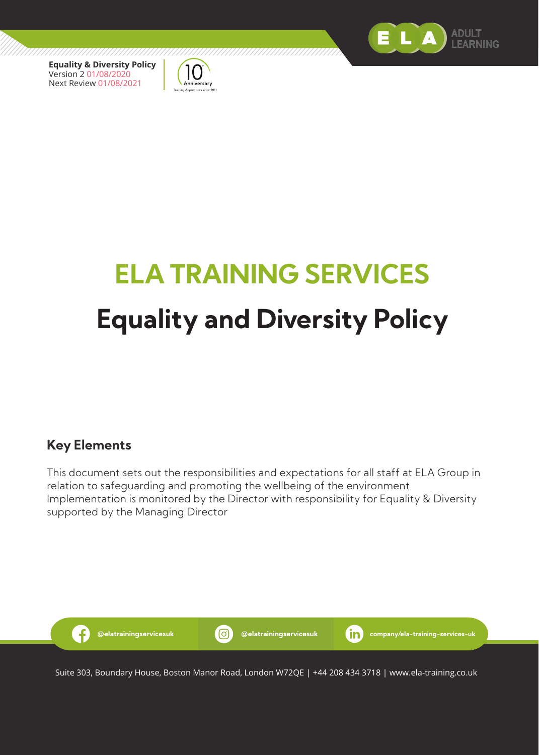



# **ELA TRAINING SERVICES Equality and Diversity Policy**

#### **Key Elements**

This document sets out the responsibilities and expectations for all staff at ELA Group in relation to safeguarding and promoting the wellbeing of the environment Implementation is monitored by the Director with responsibility for Equality & Diversity supported by the Managing Director



Suite 303, Boundary House, Boston Manor Road, London W72QE | +44 208 434 3718 | www.ela-training.co.uk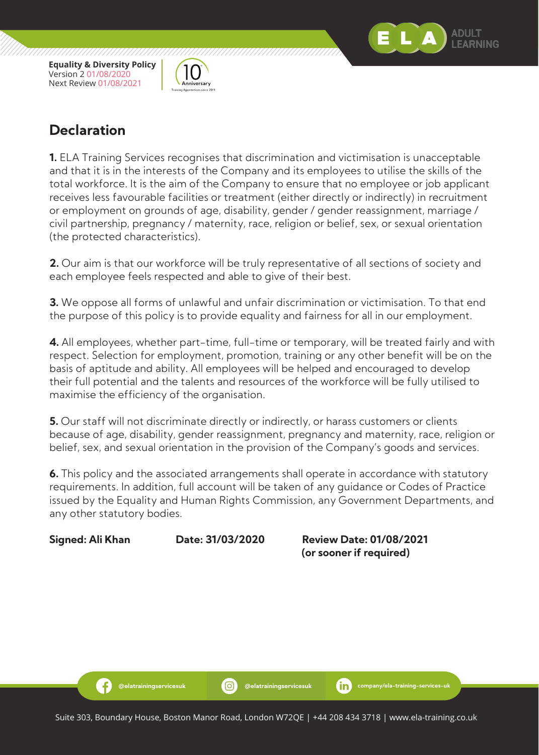,,,,,,,,,,,,,,,,,,,,,,,,,,,,,,,,,,,,



## **Declaration**

**1.** ELA Training Services recognises that discrimination and victimisation is unacceptable and that it is in the interests of the Company and its employees to utilise the skills of the total workforce. It is the aim of the Company to ensure that no employee or job applicant receives less favourable facilities or treatment (either directly or indirectly) in recruitment or employment on grounds of age, disability, gender / gender reassignment, marriage / civil partnership, pregnancy / maternity, race, religion or belief, sex, or sexual orientation (the protected characteristics).

**2.** Our aim is that our workforce will be truly representative of all sections of society and each employee feels respected and able to give of their best.

**3.** We oppose all forms of unlawful and unfair discrimination or victimisation. To that end the purpose of this policy is to provide equality and fairness for all in our employment.

**4.** All employees, whether part-time, full-time or temporary, will be treated fairly and with respect. Selection for employment, promotion, training or any other benefit will be on the basis of aptitude and ability. All employees will be helped and encouraged to develop their full potential and the talents and resources of the workforce will be fully utilised to maximise the efficiency of the organisation.

**5.** Our staff will not discriminate directly or indirectly, or harass customers or clients because of age, disability, gender reassignment, pregnancy and maternity, race, religion or belief, sex, and sexual orientation in the provision of the Company's goods and services.

**6.** This policy and the associated arrangements shall operate in accordance with statutory requirements. In addition, full account will be taken of any guidance or Codes of Practice issued by the Equality and Human Rights Commission, any Government Departments, and any other statutory bodies.

Ð

**Signed: Ali Khan Date: 31/03/2020 Review Date: 01/08/2021 (or sooner if required)**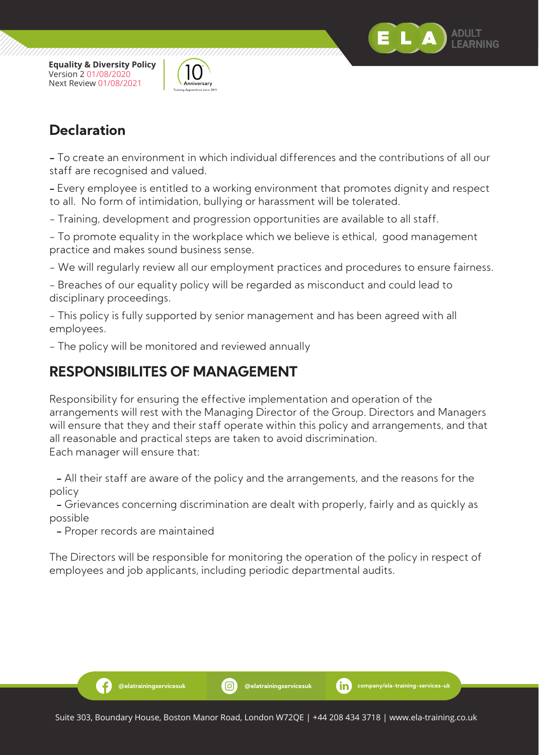



**Declaration**

**-** To create an environment in which individual differences and the contributions of all our staff are recognised and valued.

**-** Every employee is entitled to a working environment that promotes dignity and respect to all. No form of intimidation, bullying or harassment will be tolerated.

- Training, development and progression opportunities are available to all staff.

- To promote equality in the workplace which we believe is ethical, good management practice and makes sound business sense.

- We will regularly review all our employment practices and procedures to ensure fairness.

- Breaches of our equality policy will be regarded as misconduct and could lead to disciplinary proceedings.

- This policy is fully supported by senior management and has been agreed with all employees.

- The policy will be monitored and reviewed annually

### **RESPONSIBILITES OF MANAGEMENT**

Responsibility for ensuring the effective implementation and operation of the arrangements will rest with the Managing Director of the Group. Directors and Managers will ensure that they and their staff operate within this policy and arrangements, and that all reasonable and practical steps are taken to avoid discrimination. Each manager will ensure that:

 **-** All their staff are aware of the policy and the arrangements, and the reasons for the policy

 **-** Grievances concerning discrimination are dealt with properly, fairly and as quickly as possible

 **-** Proper records are maintained

-6

The Directors will be responsible for monitoring the operation of the policy in respect of employees and job applicants, including periodic departmental audits.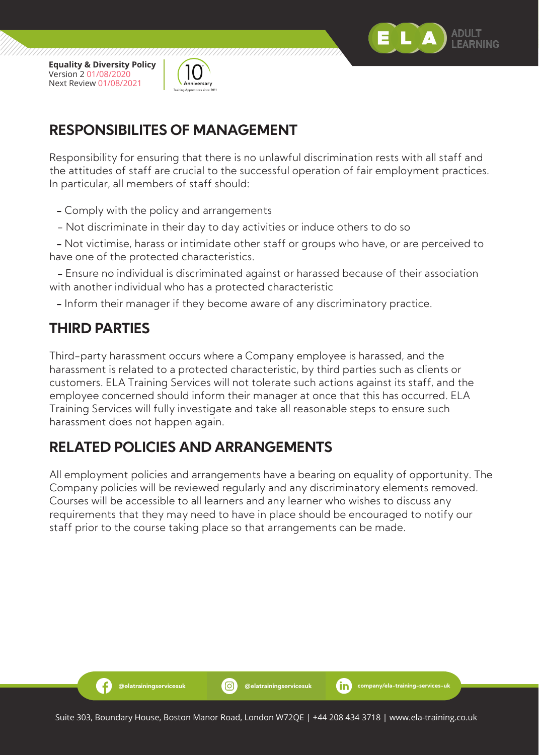

,,,,,,,,,,,,,,,,,,,,,,,,,,,,,,,



# **RESPONSIBILITES OF MANAGEMENT**

Responsibility for ensuring that there is no unlawful discrimination rests with all staff and the attitudes of staff are crucial to the successful operation of fair employment practices. In particular, all members of staff should:

- **-** Comply with the policy and arrangements
- Not discriminate in their day to day activities or induce others to do so

 **-** Not victimise, harass or intimidate other staff or groups who have, or are perceived to have one of the protected characteristics.

 **-** Ensure no individual is discriminated against or harassed because of their association with another individual who has a protected characteristic

 **-** Inform their manager if they become aware of any discriminatory practice.

## **THIRD PARTIES**

-6

Third-party harassment occurs where a Company employee is harassed, and the harassment is related to a protected characteristic, by third parties such as clients or customers. ELA Training Services will not tolerate such actions against its staff, and the employee concerned should inform their manager at once that this has occurred. ELA Training Services will fully investigate and take all reasonable steps to ensure such harassment does not happen again.

## **RELATED POLICIES AND ARRANGEMENTS**

All employment policies and arrangements have a bearing on equality of opportunity. The Company policies will be reviewed regularly and any discriminatory elements removed. Courses will be accessible to all learners and any learner who wishes to discuss any requirements that they may need to have in place should be encouraged to notify our staff prior to the course taking place so that arrangements can be made.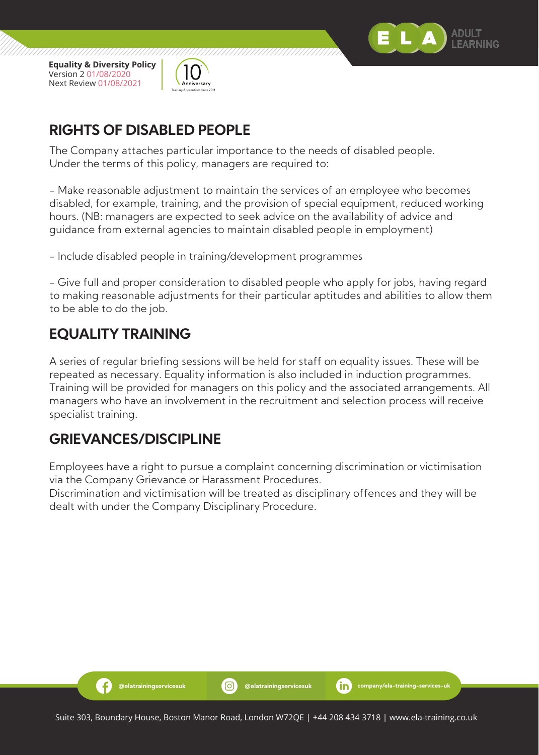



# **RIGHTS OF DISABLED PEOPLE**

The Company attaches particular importance to the needs of disabled people. Under the terms of this policy, managers are required to:

- Make reasonable adjustment to maintain the services of an employee who becomes disabled, for example, training, and the provision of special equipment, reduced working hours. (NB: managers are expected to seek advice on the availability of advice and guidance from external agencies to maintain disabled people in employment)

- Include disabled people in training/development programmes

- Give full and proper consideration to disabled people who apply for jobs, having regard to making reasonable adjustments for their particular aptitudes and abilities to allow them to be able to do the job.

# **EQUALITY TRAINING**

A series of regular briefing sessions will be held for staff on equality issues. These will be repeated as necessary. Equality information is also included in induction programmes. Training will be provided for managers on this policy and the associated arrangements. All managers who have an involvement in the recruitment and selection process will receive specialist training.

# **GRIEVANCES/DISCIPLINE**

Employees have a right to pursue a complaint concerning discrimination or victimisation via the Company Grievance or Harassment Procedures.

Discrimination and victimisation will be treated as disciplinary offences and they will be dealt with under the Company Disciplinary Procedure.